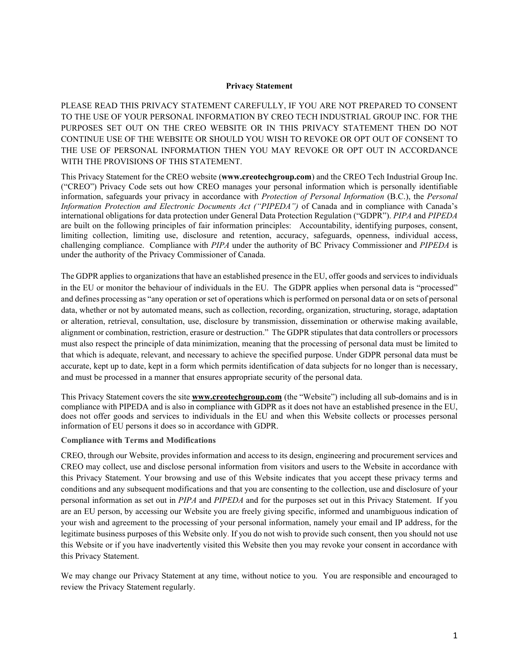#### **Privacy Statement**

PLEASE READ THIS PRIVACY STATEMENT CAREFULLY, IF YOU ARE NOT PREPARED TO CONSENT TO THE USE OF YOUR PERSONAL INFORMATION BY CREO TECH INDUSTRIAL GROUP INC. FOR THE PURPOSES SET OUT ON THE CREO WEBSITE OR IN THIS PRIVACY STATEMENT THEN DO NOT CONTINUE USE OF THE WEBSITE OR SHOULD YOU WISH TO REVOKE OR OPT OUT OF CONSENT TO THE USE OF PERSONAL INFORMATION THEN YOU MAY REVOKE OR OPT OUT IN ACCORDANCE WITH THE PROVISIONS OF THIS STATEMENT.

This Privacy Statement for the CREO website (**www.creotechgroup.com**) and the CREO Tech Industrial Group Inc. ("CREO") Privacy Code sets out how CREO manages your personal information which is personally identifiable information, safeguards your privacy in accordance with *Protection of Personal Information* (B.C.), the *Personal Information Protection and Electronic Documents Act ("PIPEDA")* of Canada and in compliance with Canada's international obligations for data protection under General Data Protection Regulation ("GDPR"). *PIPA* and *PIPEDA* are built on the following principles of fair information principles: Accountability, identifying purposes, consent, limiting collection, limiting use, disclosure and retention, accuracy, safeguards, openness, individual access, challenging compliance. Compliance with *PIPA* under the authority of BC Privacy Commissioner and *PIPEDA* is under the authority of the Privacy Commissioner of Canada.

The GDPR applies to organizations that have an established presence in the EU, offer goods and services to individuals in the EU or monitor the behaviour of individuals in the EU. The GDPR applies when personal data is "processed" and defines processing as "any operation or set of operations which is performed on personal data or on sets of personal data, whether or not by automated means, such as collection, recording, organization, structuring, storage, adaptation or alteration, retrieval, consultation, use, disclosure by transmission, dissemination or otherwise making available, alignment or combination, restriction, erasure or destruction." The GDPR stipulates that data controllers or processors must also respect the principle of data minimization, meaning that the processing of personal data must be limited to that which is adequate, relevant, and necessary to achieve the specified purpose. Under GDPR personal data must be accurate, kept up to date, kept in a form which permits identification of data subjects for no longer than is necessary, and must be processed in a manner that ensures appropriate security of the personal data.

This Privacy Statement covers the site **[www.creotechgroup.com](http://www.creotechgroup.com/)** (the "Website") including all sub-domains and is in compliance with PIPEDA and is also in compliance with GDPR as it does not have an established presence in the EU, does not offer goods and services to individuals in the EU and when this Website collects or processes personal information of EU persons it does so in accordance with GDPR.

#### **Compliance with Terms and Modifications**

CREO, through our Website, provides information and access to its design, engineering and procurement services and CREO may collect, use and disclose personal information from visitors and users to the Website in accordance with this Privacy Statement. Your browsing and use of this Website indicates that you accept these privacy terms and conditions and any subsequent modifications and that you are consenting to the collection, use and disclosure of your personal information as set out in *PIPA* and *PIPEDA* and for the purposes set out in this Privacy Statement. If you are an EU person, by accessing our Website you are freely giving specific, informed and unambiguous indication of your wish and agreement to the processing of your personal information, namely your email and IP address, for the legitimate business purposes of this Website only. If you do not wish to provide such consent, then you should not use this Website or if you have inadvertently visited this Website then you may revoke your consent in accordance with this Privacy Statement.

We may change our Privacy Statement at any time, without notice to you. You are responsible and encouraged to review the Privacy Statement regularly.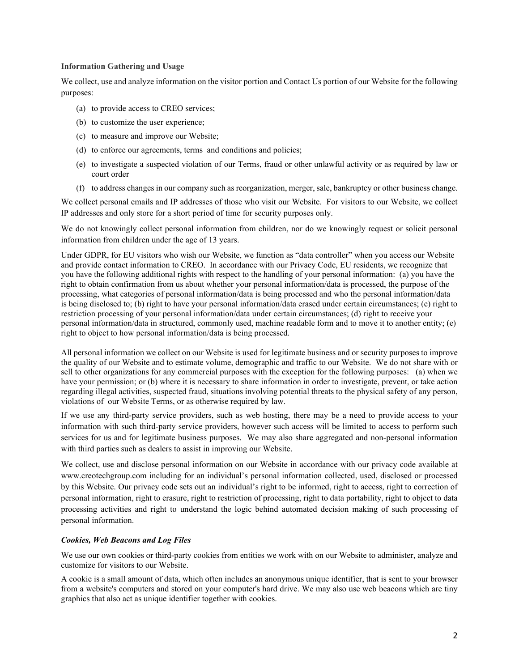### **Information Gathering and Usage**

We collect, use and analyze information on the visitor portion and Contact Us portion of our Website for the following purposes:

- (a) to provide access to CREO services;
- (b) to customize the user experience;
- (c) to measure and improve our Website;
- (d) to enforce our agreements, terms and conditions and policies;
- (e) to investigate a suspected violation of our Terms, fraud or other unlawful activity or as required by law or court order
- (f) to address changes in our company such as reorganization, merger, sale, bankruptcy or other business change.

We collect personal emails and IP addresses of those who visit our Website. For visitors to our Website, we collect IP addresses and only store for a short period of time for security purposes only.

We do not knowingly collect personal information from children, nor do we knowingly request or solicit personal information from children under the age of 13 years.

Under GDPR, for EU visitors who wish our Website, we function as "data controller" when you access our Website and provide contact information to CREO. In accordance with our Privacy Code, EU residents, we recognize that you have the following additional rights with respect to the handling of your personal information: (a) you have the right to obtain confirmation from us about whether your personal information/data is processed, the purpose of the processing, what categories of personal information/data is being processed and who the personal information/data is being disclosed to; (b) right to have your personal information/data erased under certain circumstances; (c) right to restriction processing of your personal information/data under certain circumstances; (d) right to receive your personal information/data in structured, commonly used, machine readable form and to move it to another entity; (e) right to object to how personal information/data is being processed.

All personal information we collect on our Website is used for legitimate business and or security purposes to improve the quality of our Website and to estimate volume, demographic and traffic to our Website. We do not share with or sell to other organizations for any commercial purposes with the exception for the following purposes: (a) when we have your permission; or (b) where it is necessary to share information in order to investigate, prevent, or take action regarding illegal activities, suspected fraud, situations involving potential threats to the physical safety of any person, violations of our Website Terms, or as otherwise required by law.

If we use any third-party service providers, such as web hosting, there may be a need to provide access to your information with such third-party service providers, however such access will be limited to access to perform such services for us and for legitimate business purposes. We may also share aggregated and non-personal information with third parties such as dealers to assist in improving our Website.

We collect, use and disclose personal information on our Website in accordance with our privacy code available at www.creotechgroup.com including for an individual's personal information collected, used, disclosed or processed by this Website. Our privacy code sets out an individual's right to be informed, right to access, right to correction of personal information, right to erasure, right to restriction of processing, right to data portability, right to object to data processing activities and right to understand the logic behind automated decision making of such processing of personal information.

## *Cookies, Web Beacons and Log Files*

We use our own cookies or third-party cookies from entities we work with on our Website to administer, analyze and customize for visitors to our Website.

A cookie is a small amount of data, which often includes an anonymous unique identifier, that is sent to your browser from a website's computers and stored on your computer's hard drive. We may also use web beacons which are tiny graphics that also act as unique identifier together with cookies.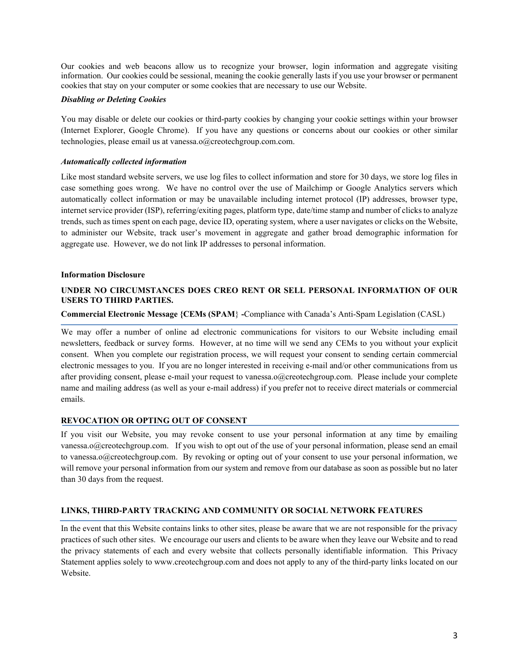Our cookies and web beacons allow us to recognize your browser, login information and aggregate visiting information. Our cookies could be sessional, meaning the cookie generally lasts if you use your browser or permanent cookies that stay on your computer or some cookies that are necessary to use our Website.

### *Disabling or Deleting Cookies*

You may disable or delete our cookies or third-party cookies by changing your cookie settings within your browser (Internet Explorer, Google Chrome). If you have any questions or concerns about our cookies or other similar technologies, please email us at vanessa.o@creotechgroup.com.com.

### *Automatically collected information*

Like most standard website servers, we use log files to collect information and store for 30 days, we store log files in case something goes wrong. We have no control over the use of Mailchimp or Google Analytics servers which automatically collect information or may be unavailable including internet protocol (IP) addresses, browser type, internet service provider (ISP), referring/exiting pages, platform type, date/time stamp and number of clicks to analyze trends, such as times spent on each page, device ID, operating system, where a user navigates or clicks on the Website, to administer our Website, track user's movement in aggregate and gather broad demographic information for aggregate use. However, we do not link IP addresses to personal information.

### **Information Disclosure**

# **UNDER NO CIRCUMSTANCES DOES CREO RENT OR SELL PERSONAL INFORMATION OF OUR USERS TO THIRD PARTIES.**

### **Commercial Electronic Message {CEMs (SPAM**} **-**Compliance with Canada's Anti-Spam Legislation (CASL)

We may offer a number of online ad electronic communications for visitors to our Website including email newsletters, feedback or survey forms. However, at no time will we send any CEMs to you without your explicit consent. When you complete our registration process, we will request your consent to sending certain commercial electronic messages to you. If you are no longer interested in receiving e-mail and/or other communications from us after providing consent, please e-mail your request to vanessa.o@creotechgroup.com. Please include your complete name and mailing address (as well as your e-mail address) if you prefer not to receive direct materials or commercial emails.

#### **REVOCATION OR OPTING OUT OF CONSENT**

If you visit our Website, you may revoke consent to use your personal information at any time by emailing vanessa.o@creotechgroup.com. If you wish to opt out of the use of your personal information, please send an email to vanessa.o@creotechgroup.com. By revoking or opting out of your consent to use your personal information, we will remove your personal information from our system and remove from our database as soon as possible but no later than 30 days from the request.

# **LINKS, THIRD-PARTY TRACKING AND COMMUNITY OR SOCIAL NETWORK FEATURES**

In the event that this Website contains links to other sites, please be aware that we are not responsible for the privacy practices of such other sites. We encourage our users and clients to be aware when they leave our Website and to read the privacy statements of each and every website that collects personally identifiable information. This Privacy Statement applies solely to www.creotechgroup.com and does not apply to any of the third-party links located on our Website.